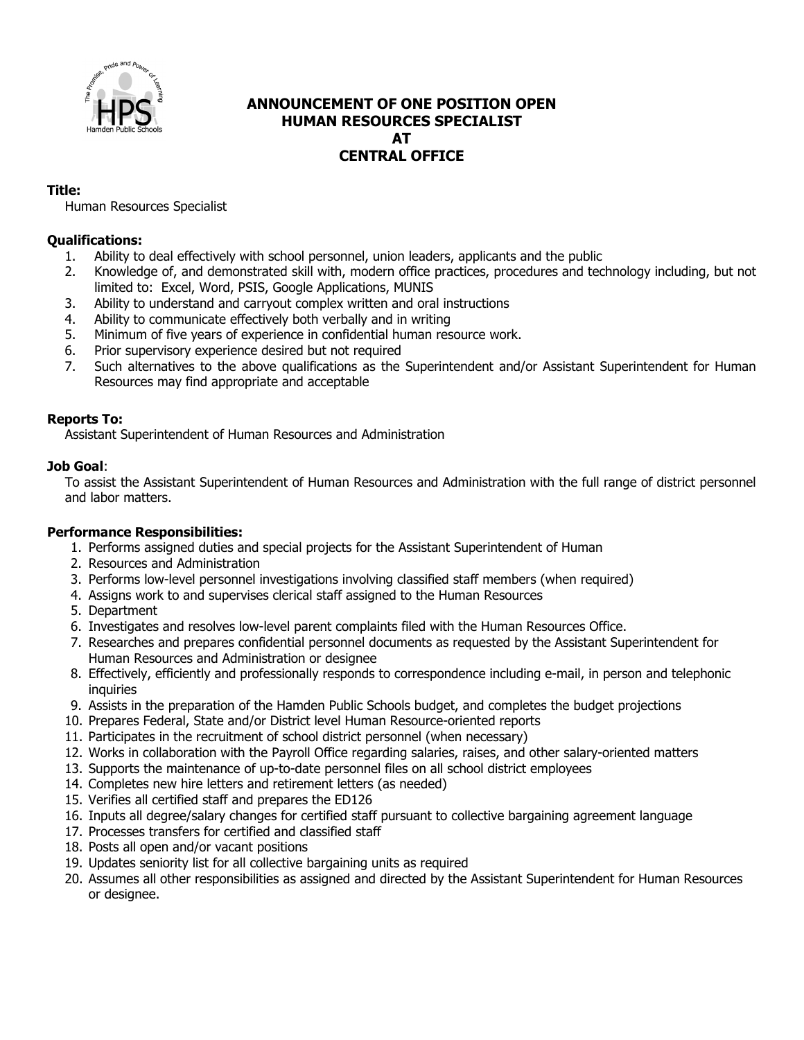

# **ANNOUNCEMENT OF ONE POSITION OPEN HUMAN RESOURCES SPECIALIST AT CENTRAL OFFICE**

## **Title:**

Human Resources Specialist

## **Qualifications:**

- 1. Ability to deal effectively with school personnel, union leaders, applicants and the public
- 2. Knowledge of, and demonstrated skill with, modern office practices, procedures and technology including, but not limited to: Excel, Word, PSIS, Google Applications, MUNIS
- 3. Ability to understand and carryout complex written and oral instructions
- 4. Ability to communicate effectively both verbally and in writing
- 5. Minimum of five years of experience in confidential human resource work.
- 6. Prior supervisory experience desired but not required
- 7. Such alternatives to the above qualifications as the Superintendent and/or Assistant Superintendent for Human Resources may find appropriate and acceptable

## **Reports To:**

Assistant Superintendent of Human Resources and Administration

## **Job Goal**:

To assist the Assistant Superintendent of Human Resources and Administration with the full range of district personnel and labor matters.

# **Performance Responsibilities:**

- 1. Performs assigned duties and special projects for the Assistant Superintendent of Human
- 2. Resources and Administration
- 3. Performs low-level personnel investigations involving classified staff members (when required)
- 4. Assigns work to and supervises clerical staff assigned to the Human Resources
- 5. Department
- 6. Investigates and resolves low-level parent complaints filed with the Human Resources Office.
- 7. Researches and prepares confidential personnel documents as requested by the Assistant Superintendent for Human Resources and Administration or designee
- 8. Effectively, efficiently and professionally responds to correspondence including e-mail, in person and telephonic **inquiries**
- 9. Assists in the preparation of the Hamden Public Schools budget, and completes the budget projections
- 10. Prepares Federal, State and/or District level Human Resource-oriented reports
- 11. Participates in the recruitment of school district personnel (when necessary)
- 12. Works in collaboration with the Payroll Office regarding salaries, raises, and other salary-oriented matters
- 13. Supports the maintenance of up-to-date personnel files on all school district employees
- 14. Completes new hire letters and retirement letters (as needed)
- 15. Verifies all certified staff and prepares the ED126
- 16. Inputs all degree/salary changes for certified staff pursuant to collective bargaining agreement language
- 17. Processes transfers for certified and classified staff
- 18. Posts all open and/or vacant positions
- 19. Updates seniority list for all collective bargaining units as required
- 20. Assumes all other responsibilities as assigned and directed by the Assistant Superintendent for Human Resources or designee.